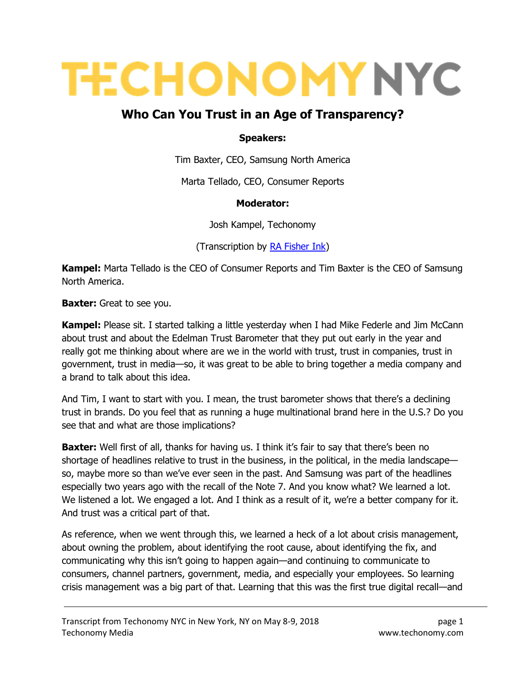# **TECHONOMY NYC**

# Who Can You Trust in an Age of Transparency?

#### Speakers:

Tim Baxter, CEO, Samsung North America

Marta Tellado, CEO, Consumer Reports

#### Moderator:

Josh Kampel, Techonomy

(Transcription by RA Fisher Ink)

Kampel: Marta Tellado is the CEO of Consumer Reports and Tim Baxter is the CEO of Samsung North America.

**Baxter:** Great to see you.

**Kampel:** Please sit. I started talking a little yesterday when I had Mike Federle and Jim McCann about trust and about the Edelman Trust Barometer that they put out early in the year and really got me thinking about where are we in the world with trust, trust in companies, trust in government, trust in media—so, it was great to be able to bring together a media company and a brand to talk about this idea.

And Tim, I want to start with you. I mean, the trust barometer shows that there's a declining trust in brands. Do you feel that as running a huge multinational brand here in the U.S.? Do you see that and what are those implications?

**Baxter:** Well first of all, thanks for having us. I think it's fair to say that there's been no shortage of headlines relative to trust in the business, in the political, in the media landscape so, maybe more so than we've ever seen in the past. And Samsung was part of the headlines especially two years ago with the recall of the Note 7. And you know what? We learned a lot. We listened a lot. We engaged a lot. And I think as a result of it, we're a better company for it. And trust was a critical part of that.

As reference, when we went through this, we learned a heck of a lot about crisis management, about owning the problem, about identifying the root cause, about identifying the fix, and communicating why this isn't going to happen again—and continuing to communicate to consumers, channel partners, government, media, and especially your employees. So learning crisis management was a big part of that. Learning that this was the first true digital recall—and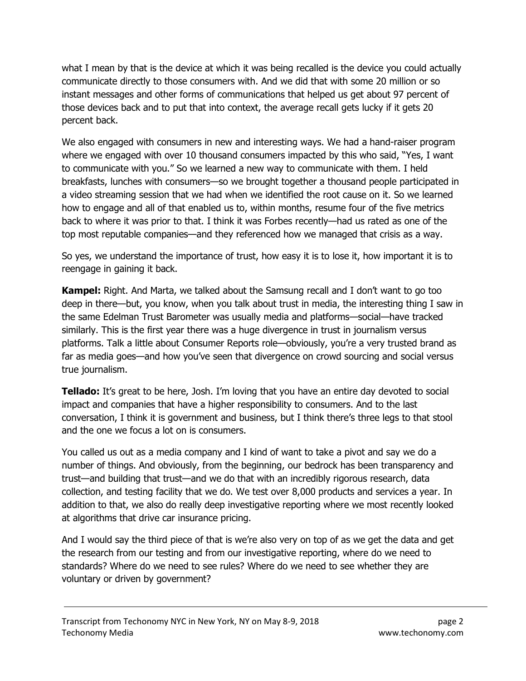what I mean by that is the device at which it was being recalled is the device you could actually communicate directly to those consumers with. And we did that with some 20 million or so instant messages and other forms of communications that helped us get about 97 percent of those devices back and to put that into context, the average recall gets lucky if it gets 20 percent back.

We also engaged with consumers in new and interesting ways. We had a hand-raiser program where we engaged with over 10 thousand consumers impacted by this who said, "Yes, I want to communicate with you." So we learned a new way to communicate with them. I held breakfasts, lunches with consumers—so we brought together a thousand people participated in a video streaming session that we had when we identified the root cause on it. So we learned how to engage and all of that enabled us to, within months, resume four of the five metrics back to where it was prior to that. I think it was Forbes recently—had us rated as one of the top most reputable companies—and they referenced how we managed that crisis as a way.

So yes, we understand the importance of trust, how easy it is to lose it, how important it is to reengage in gaining it back.

**Kampel:** Right. And Marta, we talked about the Samsung recall and I don't want to go too deep in there—but, you know, when you talk about trust in media, the interesting thing I saw in the same Edelman Trust Barometer was usually media and platforms—social—have tracked similarly. This is the first year there was a huge divergence in trust in journalism versus platforms. Talk a little about Consumer Reports role—obviously, you're a very trusted brand as far as media goes—and how you've seen that divergence on crowd sourcing and social versus true journalism.

**Tellado:** It's great to be here, Josh. I'm loving that you have an entire day devoted to social impact and companies that have a higher responsibility to consumers. And to the last conversation, I think it is government and business, but I think there's three legs to that stool and the one we focus a lot on is consumers.

You called us out as a media company and I kind of want to take a pivot and say we do a number of things. And obviously, from the beginning, our bedrock has been transparency and trust—and building that trust—and we do that with an incredibly rigorous research, data collection, and testing facility that we do. We test over 8,000 products and services a year. In addition to that, we also do really deep investigative reporting where we most recently looked at algorithms that drive car insurance pricing.

And I would say the third piece of that is we're also very on top of as we get the data and get the research from our testing and from our investigative reporting, where do we need to standards? Where do we need to see rules? Where do we need to see whether they are voluntary or driven by government?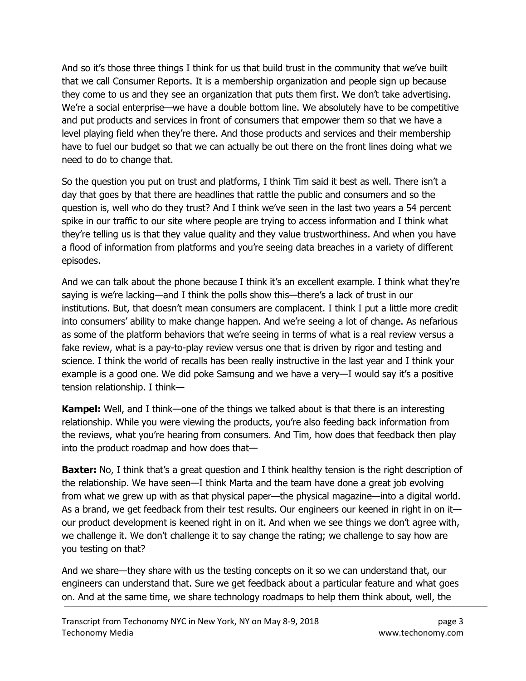And so it's those three things I think for us that build trust in the community that we've built that we call Consumer Reports. It is a membership organization and people sign up because they come to us and they see an organization that puts them first. We don't take advertising. We're a social enterprise—we have a double bottom line. We absolutely have to be competitive and put products and services in front of consumers that empower them so that we have a level playing field when they're there. And those products and services and their membership have to fuel our budget so that we can actually be out there on the front lines doing what we need to do to change that.

So the question you put on trust and platforms, I think Tim said it best as well. There isn't a day that goes by that there are headlines that rattle the public and consumers and so the question is, well who do they trust? And I think we've seen in the last two years a 54 percent spike in our traffic to our site where people are trying to access information and I think what they're telling us is that they value quality and they value trustworthiness. And when you have a flood of information from platforms and you're seeing data breaches in a variety of different episodes.

And we can talk about the phone because I think it's an excellent example. I think what they're saying is we're lacking—and I think the polls show this—there's a lack of trust in our institutions. But, that doesn't mean consumers are complacent. I think I put a little more credit into consumers' ability to make change happen. And we're seeing a lot of change. As nefarious as some of the platform behaviors that we're seeing in terms of what is a real review versus a fake review, what is a pay-to-play review versus one that is driven by rigor and testing and science. I think the world of recalls has been really instructive in the last year and I think your example is a good one. We did poke Samsung and we have a very—I would say it's a positive tension relationship. I think—

**Kampel:** Well, and I think—one of the things we talked about is that there is an interesting relationship. While you were viewing the products, you're also feeding back information from the reviews, what you're hearing from consumers. And Tim, how does that feedback then play into the product roadmap and how does that—

**Baxter:** No, I think that's a great question and I think healthy tension is the right description of the relationship. We have seen—I think Marta and the team have done a great job evolving from what we grew up with as that physical paper—the physical magazine—into a digital world. As a brand, we get feedback from their test results. Our engineers our keened in right in on it our product development is keened right in on it. And when we see things we don't agree with, we challenge it. We don't challenge it to say change the rating; we challenge to say how are you testing on that?

And we share—they share with us the testing concepts on it so we can understand that, our engineers can understand that. Sure we get feedback about a particular feature and what goes on. And at the same time, we share technology roadmaps to help them think about, well, the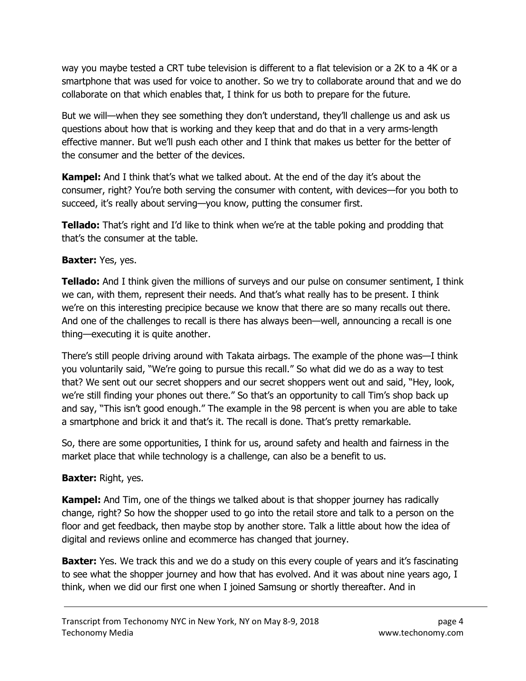way you maybe tested a CRT tube television is different to a flat television or a 2K to a 4K or a smartphone that was used for voice to another. So we try to collaborate around that and we do collaborate on that which enables that, I think for us both to prepare for the future.

But we will—when they see something they don't understand, they'll challenge us and ask us questions about how that is working and they keep that and do that in a very arms-length effective manner. But we'll push each other and I think that makes us better for the better of the consumer and the better of the devices.

Kampel: And I think that's what we talked about. At the end of the day it's about the consumer, right? You're both serving the consumer with content, with devices—for you both to succeed, it's really about serving—you know, putting the consumer first.

**Tellado:** That's right and I'd like to think when we're at the table poking and prodding that that's the consumer at the table.

#### Baxter: Yes, yes.

**Tellado:** And I think given the millions of surveys and our pulse on consumer sentiment, I think we can, with them, represent their needs. And that's what really has to be present. I think we're on this interesting precipice because we know that there are so many recalls out there. And one of the challenges to recall is there has always been—well, announcing a recall is one thing—executing it is quite another.

There's still people driving around with Takata airbags. The example of the phone was—I think you voluntarily said, "We're going to pursue this recall." So what did we do as a way to test that? We sent out our secret shoppers and our secret shoppers went out and said, "Hey, look, we're still finding your phones out there." So that's an opportunity to call Tim's shop back up and say, "This isn't good enough." The example in the 98 percent is when you are able to take a smartphone and brick it and that's it. The recall is done. That's pretty remarkable.

So, there are some opportunities, I think for us, around safety and health and fairness in the market place that while technology is a challenge, can also be a benefit to us.

#### **Baxter: Right, yes.**

**Kampel:** And Tim, one of the things we talked about is that shopper journey has radically change, right? So how the shopper used to go into the retail store and talk to a person on the floor and get feedback, then maybe stop by another store. Talk a little about how the idea of digital and reviews online and ecommerce has changed that journey.

**Baxter:** Yes. We track this and we do a study on this every couple of years and it's fascinating to see what the shopper journey and how that has evolved. And it was about nine years ago, I think, when we did our first one when I joined Samsung or shortly thereafter. And in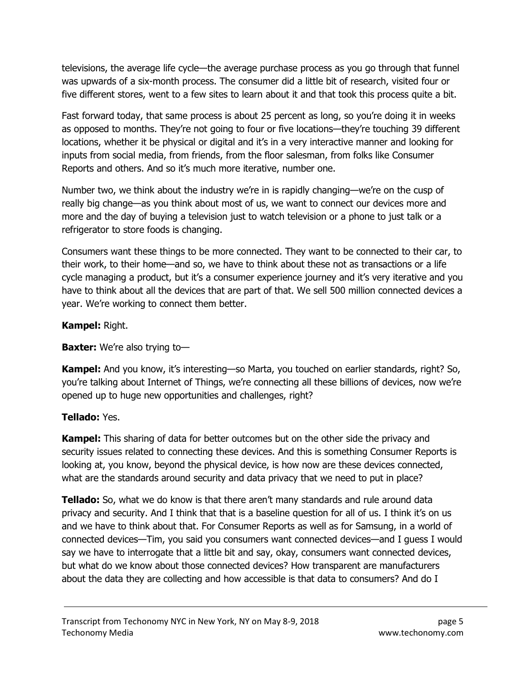televisions, the average life cycle—the average purchase process as you go through that funnel was upwards of a six-month process. The consumer did a little bit of research, visited four or five different stores, went to a few sites to learn about it and that took this process quite a bit.

Fast forward today, that same process is about 25 percent as long, so you're doing it in weeks as opposed to months. They're not going to four or five locations—they're touching 39 different locations, whether it be physical or digital and it's in a very interactive manner and looking for inputs from social media, from friends, from the floor salesman, from folks like Consumer Reports and others. And so it's much more iterative, number one.

Number two, we think about the industry we're in is rapidly changing—we're on the cusp of really big change—as you think about most of us, we want to connect our devices more and more and the day of buying a television just to watch television or a phone to just talk or a refrigerator to store foods is changing.

Consumers want these things to be more connected. They want to be connected to their car, to their work, to their home—and so, we have to think about these not as transactions or a life cycle managing a product, but it's a consumer experience journey and it's very iterative and you have to think about all the devices that are part of that. We sell 500 million connected devices a year. We're working to connect them better.

### Kampel: Right.

## **Baxter:** We're also trying to-

Kampel: And you know, it's interesting—so Marta, you touched on earlier standards, right? So, you're talking about Internet of Things, we're connecting all these billions of devices, now we're opened up to huge new opportunities and challenges, right?

## Tellado: Yes.

**Kampel:** This sharing of data for better outcomes but on the other side the privacy and security issues related to connecting these devices. And this is something Consumer Reports is looking at, you know, beyond the physical device, is how now are these devices connected, what are the standards around security and data privacy that we need to put in place?

**Tellado:** So, what we do know is that there aren't many standards and rule around data privacy and security. And I think that that is a baseline question for all of us. I think it's on us and we have to think about that. For Consumer Reports as well as for Samsung, in a world of connected devices—Tim, you said you consumers want connected devices—and I guess I would say we have to interrogate that a little bit and say, okay, consumers want connected devices, but what do we know about those connected devices? How transparent are manufacturers about the data they are collecting and how accessible is that data to consumers? And do I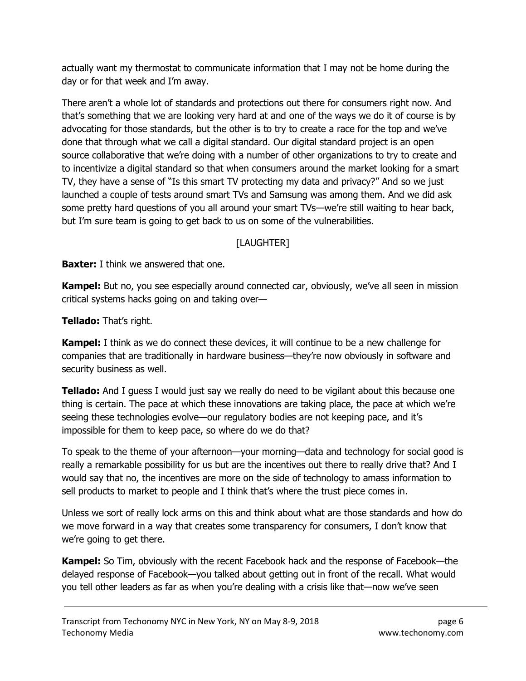actually want my thermostat to communicate information that I may not be home during the day or for that week and I'm away.

There aren't a whole lot of standards and protections out there for consumers right now. And that's something that we are looking very hard at and one of the ways we do it of course is by advocating for those standards, but the other is to try to create a race for the top and we've done that through what we call a digital standard. Our digital standard project is an open source collaborative that we're doing with a number of other organizations to try to create and to incentivize a digital standard so that when consumers around the market looking for a smart TV, they have a sense of "Is this smart TV protecting my data and privacy?" And so we just launched a couple of tests around smart TVs and Samsung was among them. And we did ask some pretty hard questions of you all around your smart TVs—we're still waiting to hear back, but I'm sure team is going to get back to us on some of the vulnerabilities.

## [LAUGHTER]

**Baxter:** I think we answered that one.

**Kampel:** But no, you see especially around connected car, obviously, we've all seen in mission critical systems hacks going on and taking over—

Tellado: That's right.

**Kampel:** I think as we do connect these devices, it will continue to be a new challenge for companies that are traditionally in hardware business—they're now obviously in software and security business as well.

**Tellado:** And I guess I would just say we really do need to be vigilant about this because one thing is certain. The pace at which these innovations are taking place, the pace at which we're seeing these technologies evolve—our regulatory bodies are not keeping pace, and it's impossible for them to keep pace, so where do we do that?

To speak to the theme of your afternoon—your morning—data and technology for social good is really a remarkable possibility for us but are the incentives out there to really drive that? And I would say that no, the incentives are more on the side of technology to amass information to sell products to market to people and I think that's where the trust piece comes in.

Unless we sort of really lock arms on this and think about what are those standards and how do we move forward in a way that creates some transparency for consumers, I don't know that we're going to get there.

Kampel: So Tim, obviously with the recent Facebook hack and the response of Facebook—the delayed response of Facebook—you talked about getting out in front of the recall. What would you tell other leaders as far as when you're dealing with a crisis like that—now we've seen